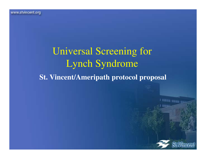## Universal Screening for Lynch Syndrome**St. Vincent/Ameripath protocol proposal**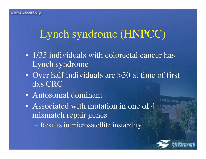# Lynch syndrome (HNPCC)

- 1/35 individuals with colorectal cancer has Lynch syndrome
- Over half individuals are >50 at time of first dxs CRC
- Autosomal dominant
- Associated with mutation in one of 4 mismatch repair genes
	- Results in microsatellite instability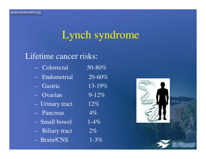# Lynch syndrome

#### Lifetime cancer risks:

| - Colorectal                 | 50-80%               |
|------------------------------|----------------------|
| - Endometrial                | $\overline{20}$ -60% |
| - Gastric                    | 13-19%               |
| $\overline{-\sqrt{Qvarian}}$ | $9 - 12\%$           |
| - Urinary tract              | 12%                  |
| - Pancreas                   | $4\%$                |
| - Small bowel                | $1 - 4\%$            |
| - Biliary tract              | $2\%$                |
| $-$ Brain/CNS                | $1 - 3\%$            |
|                              |                      |

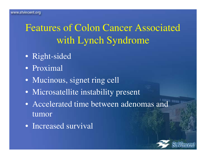## Features of Colon Cancer Associated with Lynch Syndrome

- Right-sided
- Proximal
- Mucinous, signet ring cell
- Microsatellite instability present
- Accelerated time between adenomas and tumor
- Increased survival

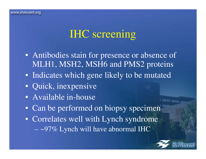## IHC screening

- Antibodies stain for presence or absence of MLH1, MSH2, MSH6 and PMS2 proteins
- Indicates which gene likely to be mutated
- Quick, inexpensive
- Available in-house
- Can be performed on biopsy specimen
- Correlates well with Lynch syndrome $\sim$ 97% Lynch will have abnormal IHC

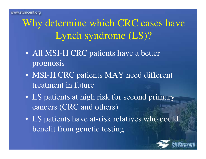Why determine which CRC cases have Lynch syndrome (LS)?

- All MSI-H CRC patients have a better prognosis
- MSI-H CRC patients MAY need different treatment in future
- LS patients at high risk for second primary cancers (CRC and others)
- LS patients have at-risk relatives who could benefit from genetic testing

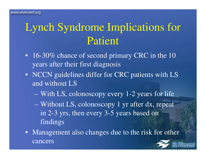# Lynch Syndrome Implications for Patient

- 16-30% chance of second primary CRC in the 10 years after their first diagnosis
- NCCN guidelines differ for CRC patients with LS and without LS
	- With LS, colonoscopy every 1-2 years for life
	- Without LS, colonoscopy 1 yr after dx, repeat in 2-3 yrs, then every 3-5 years based on findings
- Management also changes due to the risk for other cancers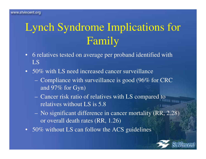# Lynch Syndrome Implications for Family

- 6 relatives tested on average per proband identified with LS
- 50% with LS need increased cancer surveillance
	- $\sim$  $-$  Compliance with surveillance is good (96% for CRC and 97% for Gyn)
	- $\sim$  Cancer risk ratio of relatives with LS compared to relatives without LS is 5.8
	- $\sim$  No significant difference in cancer mortality (RR, 2.28) or overall death rates (RR, 1.26)
- 50% without LS can follow the ACS guidelines

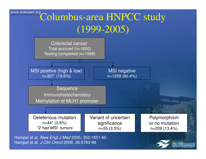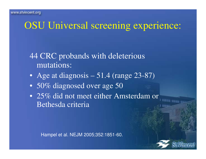#### OSU Universal screening experience:

#### 44 CRC probands with deleterious mutations:

- Age at diagnosis – 51.4 (range 23-87)
- 50% diagnosed over age 50
- 25% did not meet either Amsterdam or Bethesda criteria

Hampel et al. NEJM 2005;352:1851-60.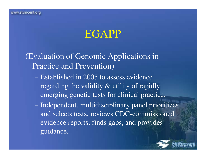#### EGAPP

(Evaluation of Genomic Applications in Practice and Prevention)

- Established in 2005 to assess evidence regarding the validity & utility of rapidly emerging genetic tests for clinical practice.
- Independent, multidisciplinary panel prioritizes and selects tests, reviews CDC-commissioned evidence reports, finds gaps, and provides guidance.

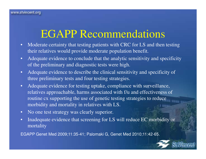## EGAPP Recommendations

- • Moderate certainty that testing patients with CRC for LS and then testing their relatives would provide moderate population benefit.
- • Adequate evidence to conclude that the analytic sensitivity and specificity of the preliminary and diagnostic tests were high.
- • Adequate evidence to describe the clinical sensitivity and specificity of three preliminary tests and four testing strategies.
- • Adequate evidence for testing uptake, compliance with surveillance, relatives approachable, harms associated with f/u and effectiveness of routine cx supporting the use of genetic testing strategies to reduce morbidity and mortality in relatives with LS.
- •No one test strategy was clearly superior.
- • Inadequate evidence that screening for LS will reduce EC morbidity or mortality

EGAPP Genet Med 2009;11:35-41; Palomaki G, Genet Med 2010;11:42-65.

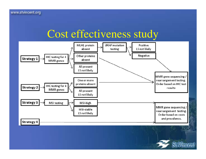### Cost effectiveness study

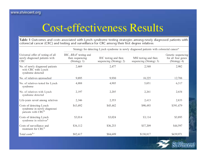## Cost-effectiveness Results

Table 1 Outcomes and costs associated with Lynch syndrome testing strategies among newly diagnosed patients with colorectal cancer (CRC) and testing and surveillance for CRC among their first degree relatives

|                                                                                           | Strategy for detecting Lynch syndrome in newly diagnosed patients with colorectal cancer <sup>a</sup> |                                                 |                                                 |                                                          |  |
|-------------------------------------------------------------------------------------------|-------------------------------------------------------------------------------------------------------|-------------------------------------------------|-------------------------------------------------|----------------------------------------------------------|--|
| Universal offer of testing of all<br>newly diagnosed patients with<br><b>CRC</b>          | IHC, BRAF testing and<br>then sequencing<br>(Strategy 1)                                              | IHC testing and then<br>sequencing (Strategy 2) | MSI testing and then<br>sequencing (Strategy 3) | Genetic sequencing<br>for all four genes<br>(Strategy 4) |  |
| No. of newly diagnosed patients<br>with CRC with Lynch<br>syndrome detected               | 2,469                                                                                                 | 2,477                                           | 2,540                                           | 2,982                                                    |  |
| No. of relatives approached                                                               | 9,895                                                                                                 | 9,930                                           | 10,225                                          | 12,788                                                   |  |
| No. of relatives tested for Lynch<br>syndrome                                             | 4,888                                                                                                 | 4,905                                           | 5,051                                           | 6,317                                                    |  |
| No. of relatives with Lynch<br>syndrome detected                                          | 2,197                                                                                                 | 2,205                                           | 2,261                                           | 2,654                                                    |  |
| Life-years saved among relatives                                                          | 2,346                                                                                                 | 2,353                                           | 2,413                                           | 2,833                                                    |  |
| Costs of detecting Lynch<br>syndrome in newly diagnosed<br>patients with CRC <sup>b</sup> | \$43,492                                                                                              | \$45,442                                        | \$90,493                                        | \$391,479                                                |  |
| Costs of detecting Lynch<br>syndrome in relatives $b$                                     | \$3,014                                                                                               | \$3,024                                         | \$3,114                                         | \$3,895                                                  |  |
| Costs of surveillance and<br>treatment for CRC <sup>b</sup>                               | \$36,112                                                                                              | \$36,233                                        | \$37,209                                        | \$44,597                                                 |  |
| Total costs $^{b,c}$                                                                      | \$82,617                                                                                              | \$84,699                                        | \$130,817                                       | \$439,971                                                |  |

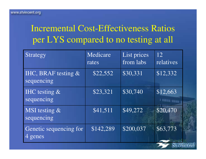#### Incremental Cost-Effectiveness Ratios per LYS compared to no testing at all

| Strategy                            | Medicare<br>rates | List prices<br>from labs | 12<br>relatives |
|-------------------------------------|-------------------|--------------------------|-----------------|
| IHC, BRAF testing $&$<br>sequencing | \$22,552          | \$30,331                 | \$12,332        |
| IHC testing $\&$<br>sequencing      | \$23,321          | \$30,740                 | \$12,663        |
| MSI testing $\&$<br>sequencing      | \$41,511          | \$49,272                 | \$20,470        |
| Genetic sequencing for<br>4 genes   | \$142,289         | \$200,037                | \$63,773        |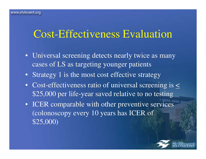### Cost-Effectiveness Evaluation

- Universal screening detects nearly twice as many cases of LS as targeting younger patients
- Strategy 1 is the most cost effective strategy
- Cost-effectiveness ratio of universal screening is  $\leq$ \$25,000 per life-year saved relative to no testing
- ICER comparable with other preventive services (colonoscopy every 10 years has ICER of \$25,000)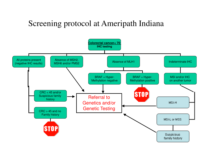#### Screening protocol at Ameripath Indiana

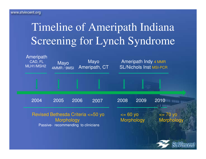# Timeline of Ameripath Indiana Screening for Lynch Syndrome

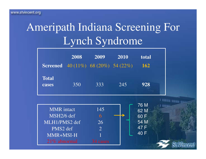# Ameripath Indiana Screening For Lynch Syndrome

|              | 2008                                       | 2009 | 2010 | total      |
|--------------|--------------------------------------------|------|------|------------|
|              | <b>Screened</b> 40 (11%) 68 (20%) 54 (22%) |      |      | <b>162</b> |
| <b>Total</b> |                                            |      |      |            |
| cases        | 350                                        | 333  | 245  | 928        |

| MMR intact      | 145      | 76 M<br>62 M       |
|-----------------|----------|--------------------|
| MSH2/6 def      |          | 60 F               |
| MLH1/PMS2 def   | 26       | 54 M               |
| PMS2 def        |          | 47 F               |
| MMR+MSI-H       |          | $\overline{140}$ F |
| $21\%$ abnormal | 34 cases |                    |

I WELLT FROM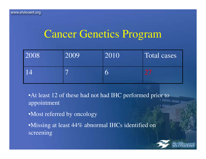### Cancer Genetics Program

| 2008                              | 2009                     | 2010 | Total cases |
|-----------------------------------|--------------------------|------|-------------|
| $\overline{\mathsf{1}}\mathsf{4}$ | $\overline{\phantom{0}}$ |      |             |

• At least 12 of these had not had IHC performed prior to appointment

•Most referred by oncology

•Missing at least 44% abnormal IHCs identified on screening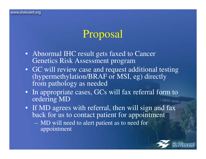## Proposal

- Abnormal IHC result gets faxed to Cancer Genetics Risk Assessment program
- GC will review case and request additional testing(hypermethylation/BRAF or MSI, eg) directly from pathology as needed
- In appropriate cases, GCs will fax referral form to ordering MDI MEETING STREETS
- If MD agrees with referral, then will sign and faxback for us to contact patient for appointment
	- $\sim$  MD will need to alert patient as to need for appointment